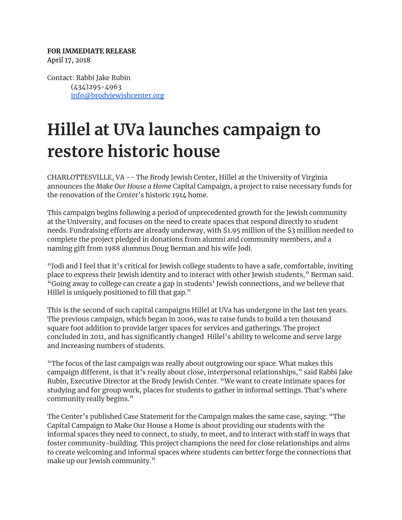## **FOR IMMEDIATE RELEASE** April 17, 2018

Contact: Rabbi Jake Rubin (434)295-4963 [info@brodyjewishcenter.org](mailto:info@brodyjewishcenter.org)

## **Hillel at UVa launches campaign to restore historic house**

CHARLOTTESVILLE, VA -- The Brody Jewish Center, Hillel at the University of Virginia announces the *Make Our House a Home* Capital Campaign, a project to raise necessary funds for the renovation of the Center's historic 1914 home.

This campaign begins following a period of unprecedented growth for the Jewish community at the University, and focuses on the need to create spaces that respond directly to student needs. Fundraising efforts are already underway, with \$1.95 million of the \$3 million needed to complete the project pledged in donations from alumni and community members, and a naming gift from 1988 alumnus Doug Berman and his wife Jodi.

"Jodi and I feel that it's critical for Jewish college students to have a safe, comfortable, inviting place to express their Jewish identity and to interact with other Jewish students," Berman said. "Going away to college can create a gap in students' Jewish connections, and we believe that Hillel is uniquely positioned to fill that gap."

This is the second of such capital campaigns Hillel at UVa has undergone in the last ten years. The previous campaign, which began in 2006, was to raise funds to build a ten thousand square foot addition to provide larger spaces for services and gatherings. The project concluded in 2011, and has significantly changed Hillel's ability to welcome and serve large and increasing numbers of students.

"The focus of the last campaign was really about outgrowing our space. What makes this campaign different, is that it's really about close, interpersonal relationships," said Rabbi Jake Rubin, Executive Director at the Brody Jewish Center. "We want to create intimate spaces for studying and for group work, places for students to gather in informal settings. That's where community really begins."

The Center's published Case Statement for the Campaign makes the same case, saying: "The Capital Campaign to Make Our House a Home is about providing our students with the informal spaces they need to connect, to study, to meet, and to interact with staff in ways that foster community-building. This project champions the need for close relationships and aims to create welcoming and informal spaces where students can better forge the connections that make up our Jewish community."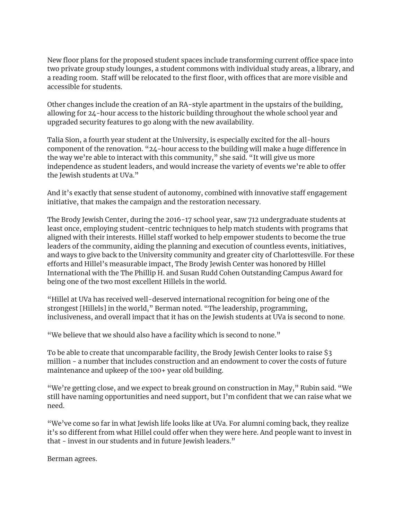New floor plans for the proposed student spaces include transforming current office space into two private group study lounges, a student commons with individual study areas, a library, and a reading room. Staff will be relocated to the first floor, with offices that are more visible and accessible for students.

Other changes include the creation of an RA-style apartment in the upstairs of the building, allowing for 24-hour access to the historic building throughout the whole school year and upgraded security features to go along with the new availability.

Talia Sion, a fourth year student at the University, is especially excited for the all-hours component of the renovation. "24-hour access to the building will make a huge difference in the way we're able to interact with this community," she said. "It will give us more independence as student leaders, and would increase the variety of events we're able to offer the Jewish students at UVa."

And it's exactly that sense student of autonomy, combined with innovative staff engagement initiative, that makes the campaign and the restoration necessary.

The Brody Jewish Center, during the 2016-17 school year, saw 712 undergraduate students at least once, employing student-centric techniques to help match students with programs that aligned with their interests. Hillel staff worked to help empower students to become the true leaders of the community, aiding the planning and execution of countless events, initiatives, and ways to give back to the University community and greater city of Charlottesville. For these efforts and Hillel's measurable impact, The Brody Jewish Center was honored by Hillel International with the The Phillip H. and Susan Rudd Cohen Outstanding Campus Award for being one of the two most excellent Hillels in the world.

"Hillel at UVa has received well-deserved international recognition for being one of the strongest [Hillels] in the world," Berman noted. "The leadership, programming, inclusiveness, and overall impact that it has on the Jewish students at UVa is second to none.

"We believe that we should also have a facility which is second to none."

To be able to create that uncomparable facility, the Brody Jewish Center looks to raise \$3 million - a number that includes construction and an endowment to cover the costs of future maintenance and upkeep of the 100+ year old building.

"We're getting close, and we expect to break ground on construction in May," Rubin said. "We still have naming opportunities and need support, but I'm confident that we can raise what we need.

"We've come so far in what Jewish life looks like at UVa. For alumni coming back, they realize it's so different from what Hillel could offer when they were here. And people want to invest in that - invest in our students and in future Jewish leaders."

Berman agrees.